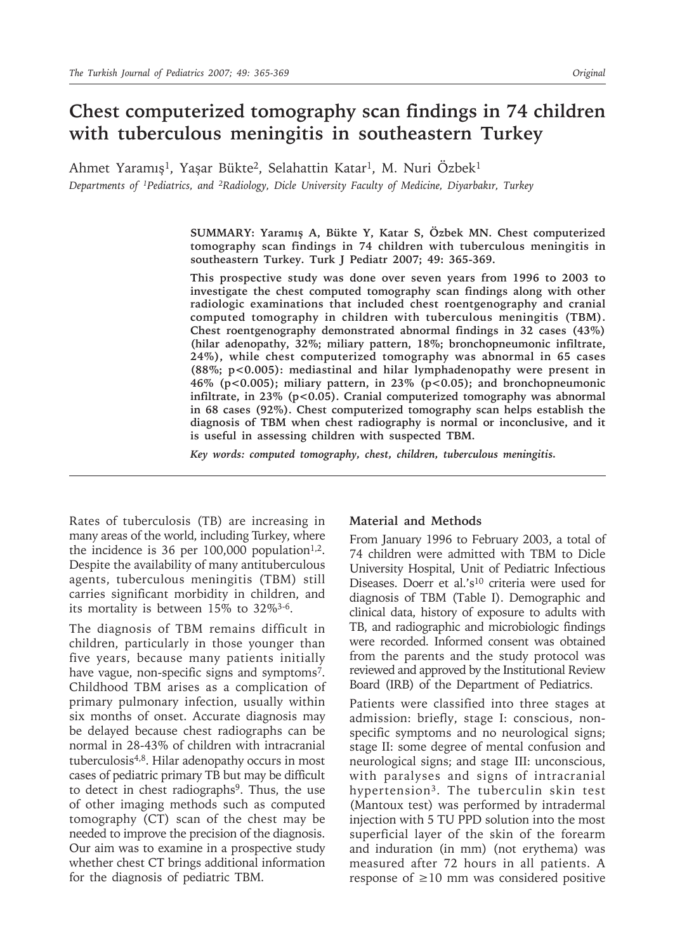# **Chest computerized tomography scan findings in 74 children with tuberculous meningitis in southeastern Turkey**

Ahmet Yaramış<sup>1</sup>, Yaşar Bükte<sup>2</sup>, Selahattin Katar<sup>1</sup>, M. Nuri Özbek<sup>1</sup> *Departments of 1Pediatrics, and 2Radiology, Dicle University Faculty of Medicine, Diyarbakır, Turkey*

> **SUMMARY: Yaramış A, Bükte Y, Katar S, Özbek MN. Chest computerized tomography scan findings in 74 children with tuberculous meningitis in southeastern Turkey. Turk J Pediatr 2007; 49: 365-369.**

> **This prospective study was done over seven years from 1996 to 2003 to investigate the chest computed tomography scan findings along with other radiologic examinations that included chest roentgenography and cranial computed tomography in children with tuberculous meningitis (TBM). Chest roentgenography demonstrated abnormal findings in 32 cases (43%) (hilar adenopathy, 32%; miliary pattern, 18%; bronchopneumonic infiltrate, 24%), while chest computerized tomography was abnormal in 65 cases (88%; p<0.005): mediastinal and hilar lymphadenopathy were present in 46% (p<0.005); miliary pattern, in 23% (p<0.05); and bronchopneumonic**  infiltrate, in 23% (p<0.05). Cranial computerized tomography was abnormal **in 68 cases (92%). Chest computerized tomography scan helps establish the diagnosis of TBM when chest radiography is normal or inconclusive, and it is useful in assessing children with suspected TBM.**

*Key words: computed tomography, chest, children, tuberculous meningitis.*

Rates of tuberculosis (TB) are increasing in many areas of the world, including Turkey, where the incidence is 36 per  $100,000$  population<sup>1,2</sup>. Despite the availability of many antituberculous agents, tuberculous meningitis (TBM) still carries significant morbidity in children, and its mortality is between 15% to 32%3-6.

The diagnosis of TBM remains difficult in children, particularly in those younger than five years, because many patients initially have vague, non-specific signs and symptoms<sup>7</sup>. Childhood TBM arises as a complication of primary pulmonary infection, usually within six months of onset. Accurate diagnosis may be delayed because chest radiographs can be normal in 28-43% of children with intracranial tuberculosis4,8. Hilar adenopathy occurs in most cases of pediatric primary TB but may be difficult to detect in chest radiographs<sup>9</sup>. Thus, the use of other imaging methods such as computed tomography (CT) scan of the chest may be needed to improve the precision of the diagnosis. Our aim was to examine in a prospective study whether chest CT brings additional information for the diagnosis of pediatric TBM.

## **Material and Methods**

From January 1996 to February 2003, a total of 74 children were admitted with TBM to Dicle University Hospital, Unit of Pediatric Infectious Diseases. Doerr et al.'s<sup>10</sup> criteria were used for diagnosis of TBM (Table I). Demographic and clinical data, history of exposure to adults with TB, and radiographic and microbiologic findings were recorded. Informed consent was obtained from the parents and the study protocol was reviewed and approved by the Institutional Review Board (IRB) of the Department of Pediatrics.

Patients were classified into three stages at admission: briefly, stage I: conscious, nonspecific symptoms and no neurological signs; stage II: some degree of mental confusion and neurological signs; and stage III: unconscious, with paralyses and signs of intracranial hypertension3. The tuberculin skin test (Mantoux test) was performed by intradermal injection with 5 TU PPD solution into the most superficial layer of the skin of the forearm and induration (in mm) (not erythema) was measured after 72 hours in all patients. A response of ≥10 mm was considered positive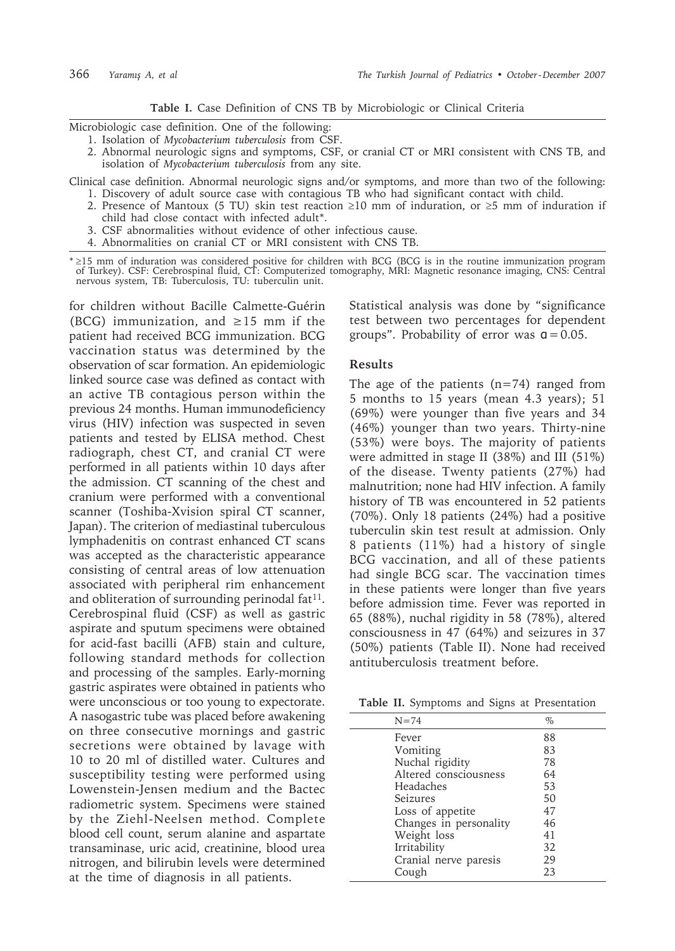### **Table I.** Case Definition of CNS TB by Microbiologic or Clinical Criteria

Microbiologic case definition. One of the following:

- 1. Isolation of *Mycobacterium tuberculosis* from CSF.
- 2. Abnormal neurologic signs and symptoms, CSF, or cranial CT or MRI consistent with CNS TB, and isolation of *Mycobacterium tuberculosis* from any site.

Clinical case definition. Abnormal neurologic signs and/or symptoms, and more than two of the following:

- 1. Discovery of adult source case with contagious TB who had significant contact with child. 2. Presence of Mantoux (5 TU) skin test reaction ≥10 mm of induration, or ≥5 mm of induration if
- child had close contact with infected adult\*.
- 3. CSF abnormalities without evidence of other infectious cause.
- 4. Abnormalities on cranial CT or MRI consistent with CNS TB.

\* ≥15 mm of induration was considered positive for children with BCG (BCG is in the routine immunization program of Turkey). CSF: Cerebrospinal fluid, CT: Computerized tomography, MRI: Magnetic resonance imaging, CNS: Central nervous system, TB: Tuberculosis, TU: tuberculin unit.

for children without Bacille Calmette-Guérin (BCG) immunization, and  $\geq 15$  mm if the patient had received BCG immunization. BCG vaccination status was determined by the observation of scar formation. An epidemiologic linked source case was defined as contact with an active TB contagious person within the previous 24 months. Human immunodeficiency virus (HIV) infection was suspected in seven patients and tested by ELISA method. Chest radiograph, chest CT, and cranial CT were performed in all patients within 10 days after the admission. CT scanning of the chest and cranium were performed with a conventional scanner (Toshiba-Xvision spiral CT scanner, Japan). The criterion of mediastinal tuberculous lymphadenitis on contrast enhanced CT scans was accepted as the characteristic appearance consisting of central areas of low attenuation associated with peripheral rim enhancement and obliteration of surrounding perinodal fat<sup>11</sup>. Cerebrospinal fluid (CSF) as well as gastric aspirate and sputum specimens were obtained for acid-fast bacilli (AFB) stain and culture, following standard methods for collection and processing of the samples. Early-morning gastric aspirates were obtained in patients who were unconscious or too young to expectorate. A nasogastric tube was placed before awakening on three consecutive mornings and gastric secretions were obtained by lavage with 10 to 20 ml of distilled water. Cultures and susceptibility testing were performed using Lowenstein-Jensen medium and the Bactec radiometric system. Specimens were stained by the Ziehl-Neelsen method. Complete blood cell count, serum alanine and aspartate transaminase, uric acid, creatinine, blood urea nitrogen, and bilirubin levels were determined at the time of diagnosis in all patients.

Statistical analysis was done by "significance test between two percentages for dependent groups". Probability of error was  $q = 0.05$ .

## **Results**

The age of the patients  $(n=74)$  ranged from 5 months to 15 years (mean 4.3 years); 51 (69%) were younger than five years and 34 (46%) younger than two years. Thirty-nine (53%) were boys. The majority of patients were admitted in stage II (38%) and III (51%) of the disease. Twenty patients (27%) had malnutrition; none had HIV infection. A family history of TB was encountered in 52 patients (70%). Only 18 patients (24%) had a positive tuberculin skin test result at admission. Only 8 patients (11%) had a history of single BCG vaccination, and all of these patients had single BCG scar. The vaccination times in these patients were longer than five years before admission time. Fever was reported in 65 (88%), nuchal rigidity in 58 (78%), altered consciousness in 47 (64%) and seizures in 37 (50%) patients (Table II). None had received antituberculosis treatment before.

**Table II.** Symptoms and Signs at Presentation

| $N = 74$               | $\%$ |  |
|------------------------|------|--|
| Fever                  | 88   |  |
| Vomiting               | 83   |  |
| Nuchal rigidity        | 78   |  |
| Altered consciousness  | 64   |  |
| Headaches              | 53   |  |
| Seizures               | 50   |  |
| Loss of appetite       | 47   |  |
| Changes in personality | 46   |  |
| Weight loss            | 41   |  |
| Irritability           | 32   |  |
| Cranial nerve paresis  | 29   |  |
| Cough                  | 23   |  |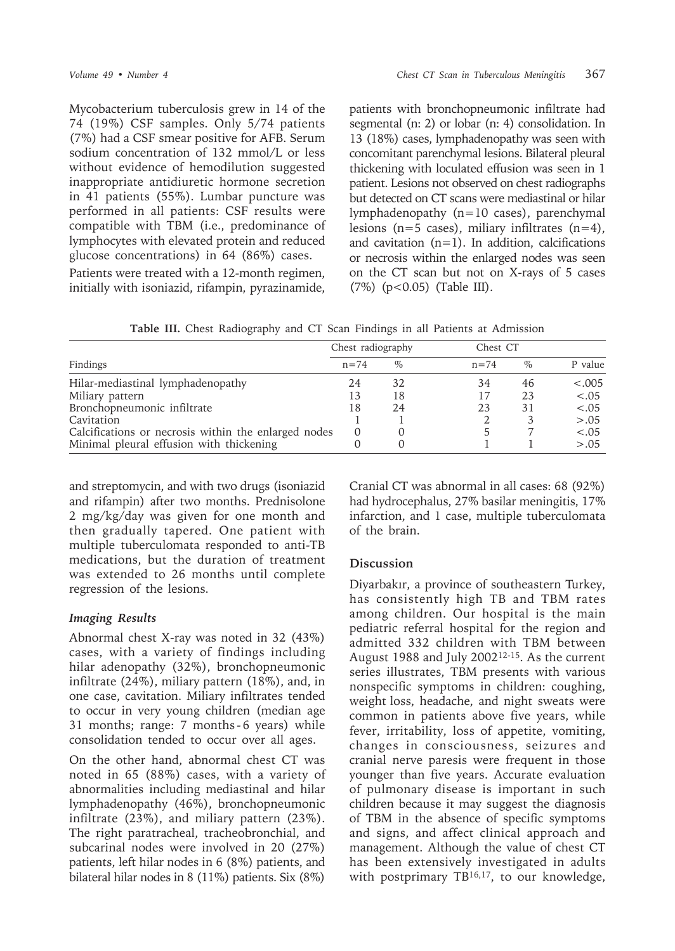Mycobacterium tuberculosis grew in 14 of the 74 (19%) CSF samples. Only 5/74 patients (7%) had a CSF smear positive for AFB. Serum sodium concentration of 132 mmol/L or less without evidence of hemodilution suggested inappropriate antidiuretic hormone secretion in 41 patients (55%). Lumbar puncture was performed in all patients: CSF results were compatible with TBM (i.e., predominance of lymphocytes with elevated protein and reduced glucose concentrations) in 64 (86%) cases.

Patients were treated with a 12-month regimen, initially with isoniazid, rifampin, pyrazinamide,

patients with bronchopneumonic infiltrate had segmental (n: 2) or lobar (n: 4) consolidation. In 13 (18%) cases, lymphadenopathy was seen with concomitant parenchymal lesions. Bilateral pleural thickening with loculated effusion was seen in 1 patient. Lesions not observed on chest radiographs but detected on CT scans were mediastinal or hilar lymphadenopathy (n=10 cases), parenchymal lesions ( $n=5$  cases), miliary infiltrates ( $n=4$ ), and cavitation  $(n=1)$ . In addition, calcifications or necrosis within the enlarged nodes was seen on the CT scan but not on X-rays of 5 cases (7%) (p<0.05) (Table III).

**Table III.** Chest Radiography and CT Scan Findings in all Patients at Admission

| Findings                                             | Chest radiography |      |          | Chest CT |         |
|------------------------------------------------------|-------------------|------|----------|----------|---------|
|                                                      | $n = 74$          | $\%$ | $n = 74$ | $\%$     | P value |
| Hilar-mediastinal lymphadenopathy                    | 24                | 32   | 34       | 46       | < .005  |
| Miliary pattern                                      | 13                | 18   | 17       | 23       | $-.05$  |
| Bronchopneumonic infiltrate                          | 18                | 24   | 23       | 31       | $-.05$  |
| Cavitation                                           |                   |      |          |          | > .05   |
| Calcifications or necrosis within the enlarged nodes | 0                 |      |          |          | $-.05$  |
| Minimal pleural effusion with thickening             |                   |      |          |          | > .05   |

and streptomycin, and with two drugs (isoniazid and rifampin) after two months. Prednisolone 2 mg/kg/day was given for one month and then gradually tapered. One patient with multiple tuberculomata responded to anti-TB medications, but the duration of treatment was extended to 26 months until complete regression of the lesions.

## *Imaging Results*

Abnormal chest X-ray was noted in 32 (43%) cases, with a variety of findings including hilar adenopathy (32%), bronchopneumonic infiltrate (24%), miliary pattern (18%), and, in one case, cavitation. Miliary infiltrates tended to occur in very young children (median age 31 months; range: 7 months - 6 years) while consolidation tended to occur over all ages.

On the other hand, abnormal chest CT was noted in 65 (88%) cases, with a variety of abnormalities including mediastinal and hilar lymphadenopathy (46%), bronchopneumonic infiltrate (23%), and miliary pattern (23%). The right paratracheal, tracheobronchial, and subcarinal nodes were involved in 20 (27%) patients, left hilar nodes in 6 (8%) patients, and bilateral hilar nodes in 8 (11%) patients. Six (8%)

Cranial CT was abnormal in all cases: 68 (92%) had hydrocephalus, 27% basilar meningitis, 17% infarction, and 1 case, multiple tuberculomata of the brain.

## **Discussion**

Diyarbakır, a province of southeastern Turkey, has consistently high TB and TBM rates among children. Our hospital is the main pediatric referral hospital for the region and admitted 332 children with TBM between August 1988 and July 200212-15. As the current series illustrates, TBM presents with various nonspecific symptoms in children: coughing, weight loss, headache, and night sweats were common in patients above five years, while fever, irritability, loss of appetite, vomiting, changes in consciousness, seizures and cranial nerve paresis were frequent in those younger than five years. Accurate evaluation of pulmonary disease is important in such children because it may suggest the diagnosis of TBM in the absence of specific symptoms and signs, and affect clinical approach and management. Although the value of chest CT has been extensively investigated in adults with postprimary TB<sup>16,17</sup>, to our knowledge,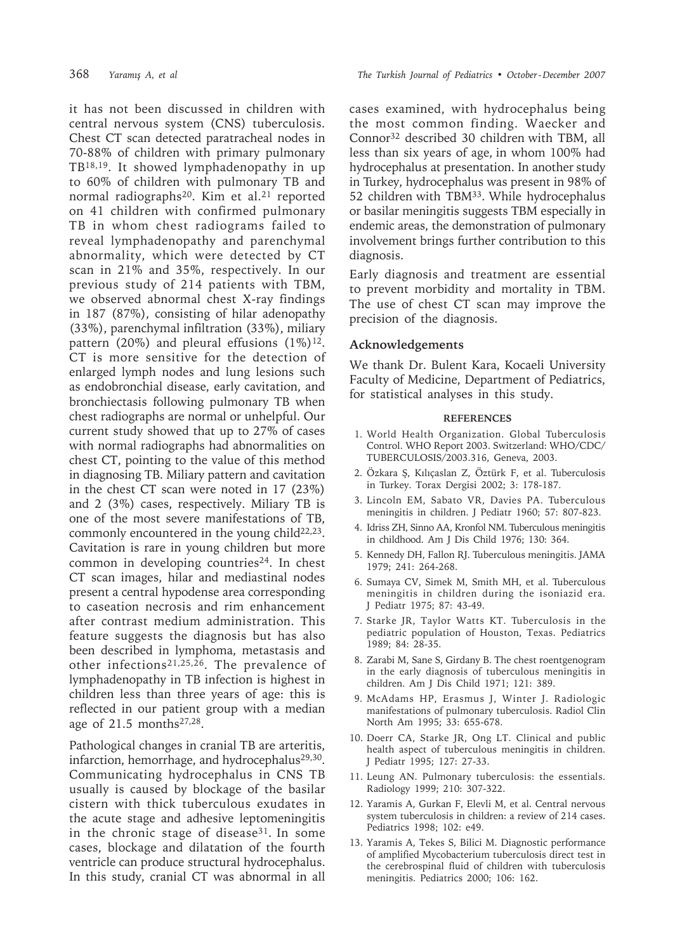it has not been discussed in children with central nervous system (CNS) tuberculosis. Chest CT scan detected paratracheal nodes in 70-88% of children with primary pulmonary TB18,19. It showed lymphadenopathy in up to 60% of children with pulmonary TB and normal radiographs<sup>20</sup>. Kim et al.<sup>21</sup> reported on 41 children with confirmed pulmonary TB in whom chest radiograms failed to reveal lymphadenopathy and parenchymal abnormality, which were detected by CT scan in 21% and 35%, respectively. In our previous study of 214 patients with TBM, we observed abnormal chest X-ray findings in 187 (87%), consisting of hilar adenopathy (33%), parenchymal infiltration (33%), miliary pattern (20%) and pleural effusions  $(1\%)^{12}$ . CT is more sensitive for the detection of enlarged lymph nodes and lung lesions such as endobronchial disease, early cavitation, and bronchiectasis following pulmonary TB when chest radiographs are normal or unhelpful. Our current study showed that up to 27% of cases with normal radiographs had abnormalities on chest CT, pointing to the value of this method in diagnosing TB. Miliary pattern and cavitation in the chest CT scan were noted in 17 (23%) and 2 (3%) cases, respectively. Miliary TB is one of the most severe manifestations of TB, commonly encountered in the young child $22,23$ . Cavitation is rare in young children but more common in developing countries<sup>24</sup>. In chest CT scan images, hilar and mediastinal nodes present a central hypodense area corresponding to caseation necrosis and rim enhancement after contrast medium administration. This feature suggests the diagnosis but has also been described in lymphoma, metastasis and other infections<sup>21,25,26</sup>. The prevalence of lymphadenopathy in TB infection is highest in children less than three years of age: this is reflected in our patient group with a median age of 21.5 months27,28.

Pathological changes in cranial TB are arteritis, infarction, hemorrhage, and hydrocephalus<sup>29,30</sup>. Communicating hydrocephalus in CNS TB usually is caused by blockage of the basilar cistern with thick tuberculous exudates in the acute stage and adhesive leptomeningitis in the chronic stage of disease<sup>31</sup>. In some cases, blockage and dilatation of the fourth ventricle can produce structural hydrocephalus. In this study, cranial CT was abnormal in all

cases examined, with hydrocephalus being the most common finding. Waecker and Connor32 described 30 children with TBM, all less than six years of age, in whom 100% had hydrocephalus at presentation. In another study in Turkey, hydrocephalus was present in 98% of 52 children with TBM33. While hydrocephalus or basilar meningitis suggests TBM especially in endemic areas, the demonstration of pulmonary involvement brings further contribution to this diagnosis.

Early diagnosis and treatment are essential to prevent morbidity and mortality in TBM. The use of chest CT scan may improve the precision of the diagnosis.

## **Acknowledgements**

We thank Dr. Bulent Kara, Kocaeli University Faculty of Medicine, Department of Pediatrics, for statistical analyses in this study.

#### **REFERENCES**

- 1. World Health Organization. Global Tuberculosis Control. WHO Report 2003. Switzerland: WHO/CDC/ TUBERCULOSIS/2003.316, Geneva, 2003.
- 2. Özkara Ş, Kılıçaslan Z, Öztürk F, et al. Tuberculosis in Turkey. Torax Dergisi 2002; 3: 178-187.
- 3. Lincoln EM, Sabato VR, Davies PA. Tuberculous meningitis in children. J Pediatr 1960; 57: 807-823.
- 4. Idriss ZH, Sinno AA, Kronfol NM. Tuberculous meningitis in childhood. Am J Dis Child 1976; 130: 364.
- 5. Kennedy DH, Fallon RJ. Tuberculous meningitis. JAMA 1979; 241: 264-268.
- 6. Sumaya CV, Simek M, Smith MH, et al. Tuberculous meningitis in children during the isoniazid era. J Pediatr 1975; 87: 43-49.
- 7. Starke JR, Taylor Watts KT. Tuberculosis in the pediatric population of Houston, Texas. Pediatrics 1989; 84: 28-35.
- 8. Zarabi M, Sane S, Girdany B. The chest roentgenogram in the early diagnosis of tuberculous meningitis in children. Am J Dis Child 1971; 121: 389.
- 9. McAdams HP, Erasmus J, Winter J. Radiologic manifestations of pulmonary tuberculosis. Radiol Clin North Am 1995; 33: 655-678.
- 10. Doerr CA, Starke JR, Ong LT. Clinical and public health aspect of tuberculous meningitis in children. J Pediatr 1995; 127: 27-33.
- 11. Leung AN. Pulmonary tuberculosis: the essentials. Radiology 1999; 210: 307-322.
- 12. Yaramis A, Gurkan F, Elevli M, et al. Central nervous system tuberculosis in children: a review of 214 cases. Pediatrics 1998; 102: e49.
- 13. Yaramis A, Tekes S, Bilici M. Diagnostic performance of amplified Mycobacterium tuberculosis direct test in the cerebrospinal fluid of children with tuberculosis meningitis. Pediatrics 2000; 106: 162.